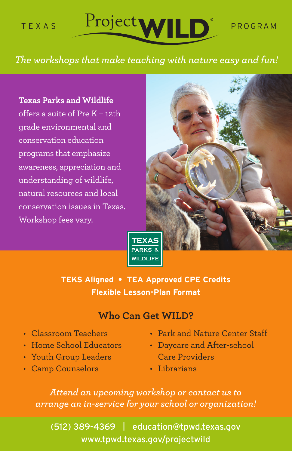

### *The workshops that make teaching with nature easy and fun!*

#### **Texas Parks and Wildlife**

offers a suite of Pre K – 12th grade environmental and conservation education programs that emphasize awareness, appreciation and understanding of wildlife, natural resources and local conservation issues in Texas. Workshop fees vary.





**TEKS Aligned • TEA Approved CPE Credits Flexible Lesson-Plan Format**

#### **Who Can Get WILD?**

- Classroom Teachers
- Home School Educators
- Youth Group Leaders
- Camp Counselors
- Park and Nature Center Staff
- Daycare and After-school Care Providers
- Librarians

*Attend an upcoming workshop or contact us to arrange an in-service for your school or organization!*

(512) 389-4369 | education@tpwd.texas.gov www.tpwd.texas.gov/projectwild